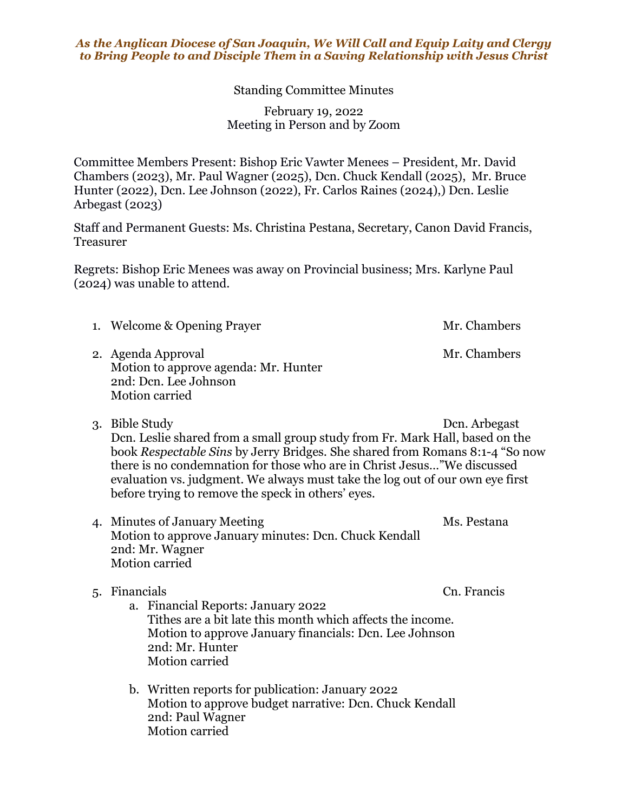## *As the Anglican Diocese of San Joaquin, We Will Call and Equip Laity and Clergy to Bring People to and Disciple Them in a Saving Relationship with Jesus Christ*

Standing Committee Minutes

February 19, 2022 Meeting in Person and by Zoom

Committee Members Present: Bishop Eric Vawter Menees – President, Mr. David Chambers (2023), Mr. Paul Wagner (2025), Dcn. Chuck Kendall (2025), Mr. Bruce Hunter (2022), Dcn. Lee Johnson (2022), Fr. Carlos Raines (2024),) Dcn. Leslie Arbegast (2023)

Staff and Permanent Guests: Ms. Christina Pestana, Secretary, Canon David Francis, Treasurer

Regrets: Bishop Eric Menees was away on Provincial business; Mrs. Karlyne Paul (2024) was unable to attend.

1. Welcome & Opening Prayer Mr. Chambers

2. Agenda Approval Mr. Chambers Motion to approve agenda: Mr. Hunter 2nd: Dcn. Lee Johnson Motion carried

- 3. Bible Study Dcn. Arbegast Dcn. Leslie shared from a small group study from Fr. Mark Hall, based on the book *Respectable Sins* by Jerry Bridges. She shared from Romans 8:1-4 "So now there is no condemnation for those who are in Christ Jesus…"We discussed evaluation vs. judgment. We always must take the log out of our own eye first before trying to remove the speck in others' eyes.
- 4. Minutes of January Meeting Ms. Pestana Motion to approve January minutes: Dcn. Chuck Kendall 2nd: Mr. Wagner Motion carried

5. Financials Cn. Francis a. Financial Reports: January 2022 Tithes are a bit late this month which affects the income. Motion to approve January financials: Dcn. Lee Johnson 2nd: Mr. Hunter Motion carried

b. Written reports for publication: January 2022 Motion to approve budget narrative: Dcn. Chuck Kendall 2nd: Paul Wagner Motion carried